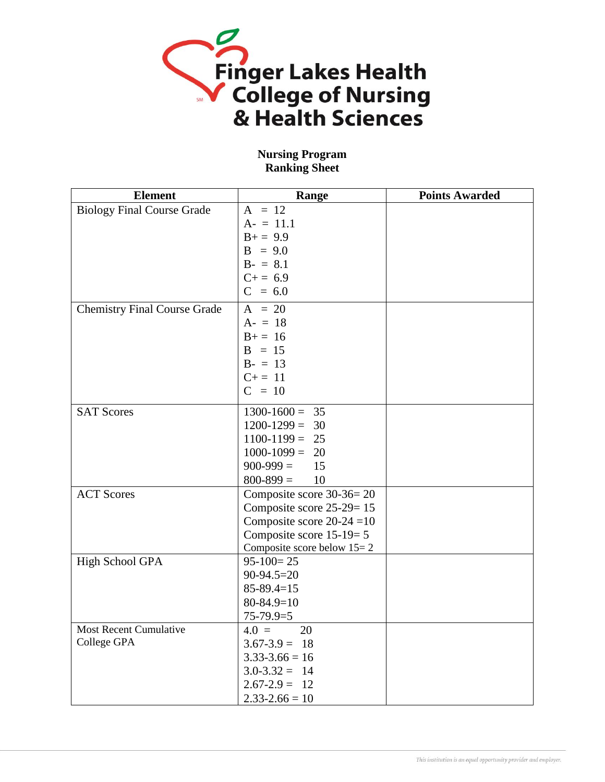

## **Nursing Program Ranking Sheet**

| <b>Element</b>                      | Range                        | <b>Points Awarded</b> |
|-------------------------------------|------------------------------|-----------------------|
| <b>Biology Final Course Grade</b>   | $A = 12$                     |                       |
|                                     | $A = 11.1$                   |                       |
|                                     | $B+=9.9$                     |                       |
|                                     | $B = 9.0$                    |                       |
|                                     | $B - = 8.1$                  |                       |
|                                     | $C+=6.9$                     |                       |
|                                     | $C = 6.0$                    |                       |
| <b>Chemistry Final Course Grade</b> | $A = 20$                     |                       |
|                                     | $A - = 18$                   |                       |
|                                     | $B+=16$                      |                       |
|                                     | $B = 15$                     |                       |
|                                     | $B - = 13$                   |                       |
|                                     | $C+=11$                      |                       |
|                                     | $C = 10$                     |                       |
| <b>SAT Scores</b>                   | $1300-1600 = 35$             |                       |
|                                     | $1200 - 1299 = 30$           |                       |
|                                     | $1100-1199 = 25$             |                       |
|                                     | $1000-1099 = 20$             |                       |
|                                     | $900-999 =$<br>15            |                       |
|                                     | $800 - 899 =$<br>10          |                       |
| <b>ACT Scores</b>                   | Composite score $30-36=20$   |                       |
|                                     | Composite score 25-29=15     |                       |
|                                     | Composite score $20-24=10$   |                       |
|                                     | Composite score $15-19=5$    |                       |
|                                     | Composite score below $15=2$ |                       |
| High School GPA                     | $95-100=25$                  |                       |
|                                     | $90-94.5=20$                 |                       |
|                                     | $85 - 89.4 = 15$             |                       |
|                                     | $80 - 84.9 = 10$             |                       |
|                                     | $75-79.9=5$                  |                       |
| <b>Most Recent Cumulative</b>       | 20<br>$4.0 =$                |                       |
| College GPA                         | $3.67 - 3.9 = 18$            |                       |
|                                     | $3.33 - 3.66 = 16$           |                       |
|                                     | $3.0 - 3.32 = 14$            |                       |
|                                     | $2.67 - 2.9 = 12$            |                       |
|                                     | $2.33 - 2.66 = 10$           |                       |